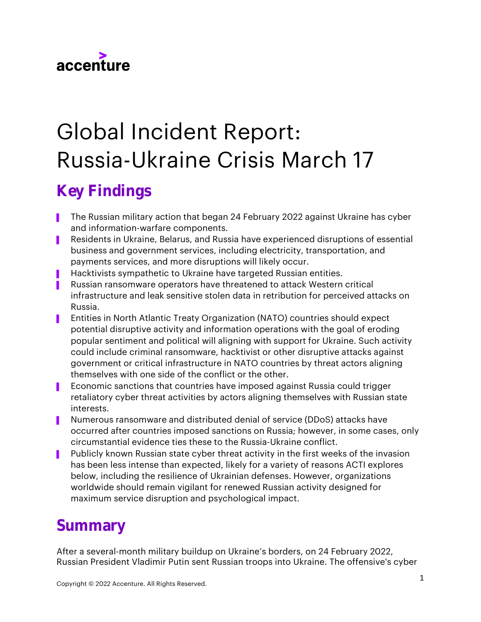

# Global Incident Report: Russia-Ukraine Crisis March 17

## Key Findings

- The Russian military action that began 24 February 2022 against Ukraine has cyber and information-warfare components.
- ▌ Residents in Ukraine, Belarus, and Russia have experienced disruptions of essential business and government services, including electricity, transportation, and payments services, and more disruptions will likely occur.
- Hacktivists sympathetic to Ukraine have targeted Russian entities.
- ▌ Russian ransomware operators have threatened to attack Western critical infrastructure and leak sensitive stolen data in retribution for perceived attacks on Russia.
- ▌ Entities in North Atlantic Treaty Organization (NATO) countries should expect potential disruptive activity and information operations with the goal of eroding popular sentiment and political will aligning with support for Ukraine. Such activity could include criminal ransomware, hacktivist or other disruptive attacks against government or critical infrastructure in NATO countries by threat actors aligning themselves with one side of the conflict or the other.
- ▌ Economic sanctions that countries have imposed against Russia could trigger retaliatory cyber threat activities by actors aligning themselves with Russian state interests.
- ▌ Numerous ransomware and distributed denial of service (DDoS) attacks have occurred after countries imposed sanctions on Russia; however, in some cases, only circumstantial evidence ties these to the Russia-Ukraine conflict.
- **Publicly known Russian state cyber threat activity in the first weeks of the invasion** has been less intense than expected, likely for a variety of reasons ACTI explores below, including the resilience of Ukrainian defenses. However, organizations worldwide should remain vigilant for renewed Russian activity designed for maximum service disruption and psychological impact.

### Summary

After a several-month military buildup on Ukraine's borders, on 24 February 2022, Russian President Vladimir Putin sent Russian troops into Ukraine. The offensive's cyber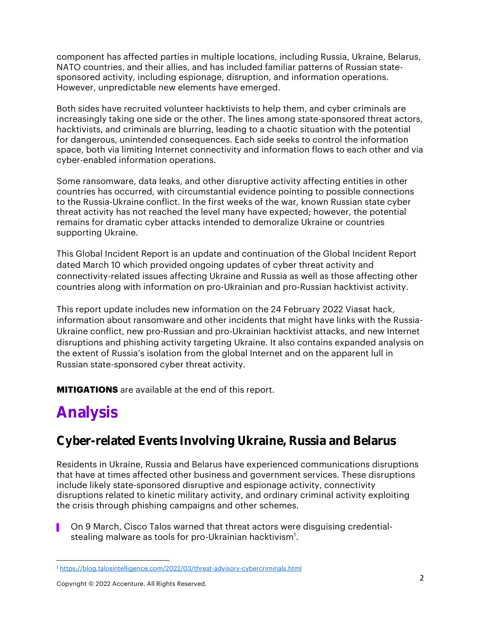component has affected parties in multiple locations, including Russia, Ukraine, Belarus, NATO countries, and their allies, and has included familiar patterns of Russian statesponsored activity, including espionage, disruption, and information operations. However, unpredictable new elements have emerged.

Both sides have recruited volunteer hacktivists to help them, and cyber criminals are increasingly taking one side or the other. The lines among state-sponsored threat actors, hacktivists, and criminals are blurring, leading to a chaotic situation with the potential for dangerous, unintended consequences. Each side seeks to control the information space, both via limiting Internet connectivity and information flows to each other and via cyber-enabled information operations.

Some ransomware, data leaks, and other disruptive activity affecting entities in other countries has occurred, with circumstantial evidence pointing to possible connections to the Russia-Ukraine conflict. In the first weeks of the war, known Russian state cyber threat activity has not reached the level many have expected; however, the potential remains for dramatic cyber attacks intended to demoralize Ukraine or countries supporting Ukraine.

This Global Incident Report is an update and continuation of the Global Incident Report dated March 10 which provided ongoing updates of cyber threat activity and connectivity-related issues affecting Ukraine and Russia as well as those affecting other countries along with information on pro-Ukrainian and pro-Russian hacktivist activity.

This report update includes new information on the 24 February 2022 Viasat hack, information about ransomware and other incidents that might have links with the Russia-Ukraine conflict, new pro-Russian and pro-Ukrainian hacktivist attacks, and new Internet disruptions and phishing activity targeting Ukraine. It also contains expanded analysis on the extent of Russia's isolation from the global Internet and on the apparent lull in Russian state-sponsored cyber threat activity.

**MITIGATIONS** are available at the end of this report.

## Analysis

### Cyber-related Events Involving Ukraine, Russia and Belarus

Residents in Ukraine, Russia and Belarus have experienced communications disruptions that have at times affected other business and government services. These disruptions include likely state-sponsored disruptive and espionage activity, connectivity disruptions related to kinetic military activity, and ordinary criminal activity exploiting the crisis through phishing campaigns and other schemes.

On 9 March, Cisco Talos warned that threat actors were disguising credentialstealing malware as tools for pro-Ukrainian hacktivism $^{\rm 1}.$ 

<sup>1</sup> <https://blog.talosintelligence.com/2022/03/threat-advisory-cybercriminals.html>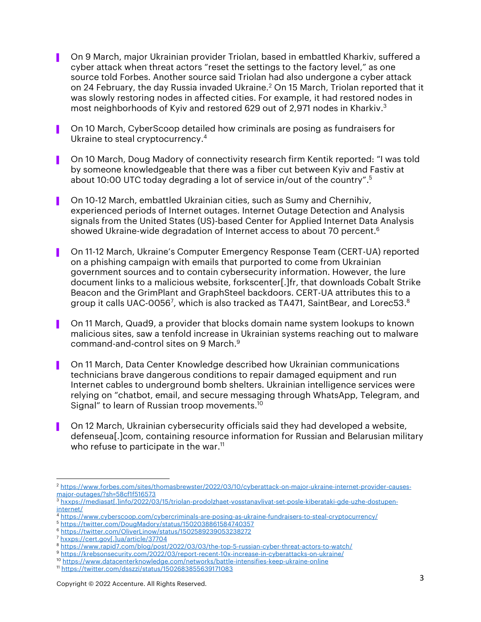- ▌ On 9 March, major Ukrainian provider Triolan, based in embattled Kharkiv, suffered a cyber attack when threat actors "reset the settings to the factory level," as one source told Forbes. Another source said Triolan had also undergone a cyber attack on 24 February, the day Russia invaded Ukraine. <sup>2</sup> On 15 March, Triolan reported that it was slowly restoring nodes in affected cities. For example, it had restored nodes in most neighborhoods of Kyiv and restored 629 out of 2,971 nodes in Kharkiv. 3
- ▌ On 10 March, CyberScoop detailed how criminals are posing as fundraisers for Ukraine to steal cryptocurrency. 4
- ▌ On 10 March, Doug Madory of connectivity research firm Kentik reported: "I was told by someone knowledgeable that there was a fiber cut between Kyiv and Fastiv at about 10:00 UTC today degrading a lot of service in/out of the country". 5
- ▌ On 10-12 March, embattled Ukrainian cities, such as Sumy and Chernihiv, experienced periods of Internet outages. Internet Outage Detection and Analysis signals from the United States (US)-based Center for Applied Internet Data Analysis showed Ukraine-wide degradation of Internet access to about 70 percent. 6
- ▌ On 11-12 March, Ukraine's Computer Emergency Response Team (CERT-UA) reported on a phishing campaign with emails that purported to come from Ukrainian government sources and to contain cybersecurity information. However, the lure document links to a malicious website, forkscenter[.]fr, that downloads Cobalt Strike Beacon and the GrimPlant and GraphSteel backdoors. CERT-UA attributes this to a group it calls UAC-0056<sup>7</sup>, which is also tracked as TA471, SaintBear, and Lorec53. $^{\rm 8}$
- ▌ On 11 March, Quad9, a provider that blocks domain name system lookups to known malicious sites, saw a tenfold increase in Ukrainian systems reaching out to malware command-and-control sites on 9 March. 9
- ▌ On 11 March, Data Center Knowledge described how Ukrainian communications technicians brave dangerous conditions to repair damaged equipment and run Internet cables to underground bomb shelters. Ukrainian intelligence services were relying on "chatbot, email, and secure messaging through WhatsApp, Telegram, and Signal" to learn of Russian troop movements. 10
- On 12 March, Ukrainian cybersecurity officials said they had developed a website, defenseua[.]com, containing resource information for Russian and Belarusian military who refuse to participate in the war. 11

<sup>2</sup> [https://www.forbes.com/sites/thomasbrewster/2022/03/10/cyberattack-on-major-ukraine-internet-provider-causes](https://www.forbes.com/sites/thomasbrewster/2022/03/10/cyberattack-on-major-ukraine-internet-provider-causes-major-outages/?sh=58cf1f516573)[major-outages/?sh=58cf1f516573](https://www.forbes.com/sites/thomasbrewster/2022/03/10/cyberattack-on-major-ukraine-internet-provider-causes-major-outages/?sh=58cf1f516573)

<sup>3</sup> [hxxps://mediasat\[.\]info/2022/03/15/triolan-prodolzhaet-vosstanavlivat-set-posle-kiberataki-gde-uzhe-dostupen](hxxps://mediasat[.]info/2022/03/15/triolan-prodolzhaet-vosstanavlivat-set-posle-kiberataki-gde-uzhe-dostupen-internet/)[internet/](hxxps://mediasat[.]info/2022/03/15/triolan-prodolzhaet-vosstanavlivat-set-posle-kiberataki-gde-uzhe-dostupen-internet/)

<sup>4</sup> <https://www.cyberscoop.com/cybercriminals-are-posing-as-ukraine-fundraisers-to-steal-cryptocurrency/>

<sup>5</sup> <https://twitter.com/DougMadory/status/1502038861584740357>

<sup>6</sup> <https://twitter.com/OliverLinow/status/1502589239053238272>

<sup>7</sup> [hxxps://cert.gov\[.\]ua/article/37704](hxxps://cert.gov[.]ua/article/37704)

<sup>8</sup> <https://www.rapid7.com/blog/post/2022/03/03/the-top-5-russian-cyber-threat-actors-to-watch/>

<sup>9</sup> <https://krebsonsecurity.com/2022/03/report-recent-10x-increase-in-cyberattacks-on-ukraine/>

<sup>10</sup> <https://www.datacenterknowledge.com/networks/battle-intensifies-keep-ukraine-online>

<sup>11</sup> <https://twitter.com/dsszzi/status/1502683855639171083>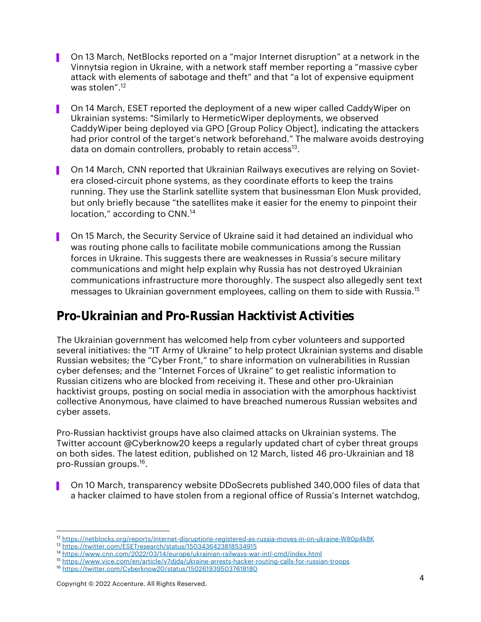- ▌ On 13 March, NetBlocks reported on a "major Internet disruption" at a network in the Vinnytsia region in Ukraine, with a network staff member reporting a "massive cyber attack with elements of sabotage and theft" and that "a lot of expensive equipment was stolen". 12
- ▌ On 14 March, ESET reported the deployment of a new wiper called CaddyWiper on Ukrainian systems: "Similarly to HermeticWiper deployments, we observed CaddyWiper being deployed via GPO [Group Policy Object], indicating the attackers had prior control of the target's network beforehand." The malware avoids destroying data on domain controllers, probably to retain access $^{13}$ .
- ▌ On 14 March, CNN reported that Ukrainian Railways executives are relying on Sovietera closed-circuit phone systems, as they coordinate efforts to keep the trains running. They use the Starlink satellite system that businessman Elon Musk provided, but only briefly because "the satellites make it easier for the enemy to pinpoint their location," according to CNN.<sup>14</sup>
- ▌ On 15 March, the Security Service of Ukraine said it had detained an individual who was routing phone calls to facilitate mobile communications among the Russian forces in Ukraine. This suggests there are weaknesses in Russia's secure military communications and might help explain why Russia has not destroyed Ukrainian communications infrastructure more thoroughly. The suspect also allegedly sent text messages to Ukrainian government employees, calling on them to side with Russia. 15

#### Pro-Ukrainian and Pro-Russian Hacktivist Activities

The Ukrainian government has welcomed help from cyber volunteers and supported several initiatives: the "IT Army of Ukraine" to help protect Ukrainian systems and disable Russian websites; the "Cyber Front," to share information on vulnerabilities in Russian cyber defenses; and the "Internet Forces of Ukraine" to get realistic information to Russian citizens who are blocked from receiving it. These and other pro-Ukrainian hacktivist groups, posting on social media in association with the amorphous hacktivist collective Anonymous, have claimed to have breached numerous Russian websites and cyber assets.

Pro-Russian hacktivist groups have also claimed attacks on Ukrainian systems. The Twitter account @Cyberknow20 keeps a regularly updated chart of cyber threat groups on both sides. The latest edition, published on 12 March, listed 46 pro-Ukrainian and 18 pro-Russian groups. 16 .

▌ On 10 March, transparency website DDoSecrets published 340,000 files of data that a hacker claimed to have stolen from a regional office of Russia's Internet watchdog,

<sup>12</sup> <https://netblocks.org/reports/internet-disruptions-registered-as-russia-moves-in-on-ukraine-W80p4k8K>

<sup>13</sup> <https://twitter.com/ESETresearch/status/1503436423818534915>

<sup>14</sup> <https://www.cnn.com/2022/03/14/europe/ukrainian-railways-war-intl-cmd/index.html>

<sup>15</sup> <https://www.vice.com/en/article/v7djda/ukraine-arrests-hacker-routing-calls-for-russian-troops>

<sup>16</sup> <https://twitter.com/Cyberknow20/status/1502619395037618180>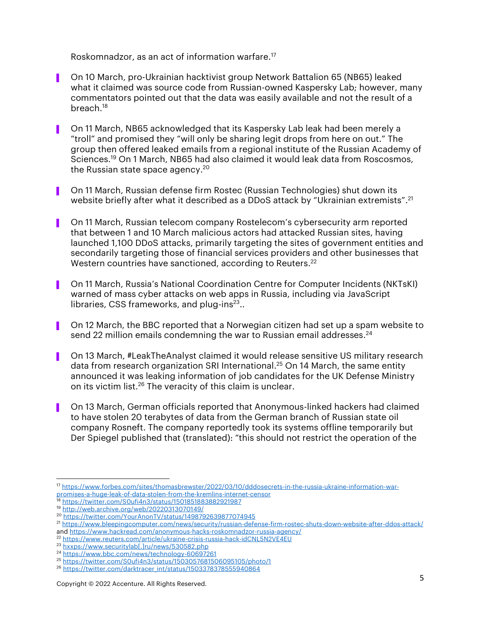Roskomnadzor, as an act of information warfare. 17

- ▌ On 10 March, pro-Ukrainian hacktivist group Network Battalion 65 (NB65) leaked what it claimed was source code from Russian-owned Kaspersky Lab; however, many commentators pointed out that the data was easily available and not the result of a breach. 18
- ▌ On 11 March, NB65 acknowledged that its Kaspersky Lab leak had been merely a "troll" and promised they "will only be sharing legit drops from here on out." The group then offered leaked emails from a regional institute of the Russian Academy of Sciences. <sup>19</sup> On 1 March, NB65 had also claimed it would leak data from Roscosmos, the Russian state space agency. $^{\rm 20}$
- ▌ On 11 March, Russian defense firm Rostec (Russian Technologies) shut down its website briefly after what it described as a DDoS attack by "Ukrainian extremists". 21
- ▌ On 11 March, Russian telecom company Rostelecom's cybersecurity arm reported that between 1 and 10 March malicious actors had attacked Russian sites, having launched 1,100 DDoS attacks, primarily targeting the sites of government entities and secondarily targeting those of financial services providers and other businesses that Western countries have sanctioned, according to Reuters. $^\mathrm{22}$
- ▌ On 11 March, Russia's National Coordination Centre for Computer Incidents (NKTsKI) warned of mass cyber attacks on web apps in Russia, including via JavaScript libraries, CSS frameworks, and plug-ins $^{23}$ ..
- ▌ On 12 March, the BBC reported that a Norwegian citizen had set up a spam website to send 22 million emails condemning the war to Russian email addresses. 24
- ▌ On 13 March, #LeakTheAnalyst claimed it would release sensitive US military research data from research organization SRI International. <sup>25</sup> On 14 March, the same entity announced it was leaking information of job candidates for the UK Defense Ministry on its victim list. <sup>26</sup> The veracity of this claim is unclear.
- ▌ On 13 March, German officials reported that Anonymous-linked hackers had claimed to have stolen 20 terabytes of data from the German branch of Russian state oil company Rosneft. The company reportedly took its systems offline temporarily but Der Spiegel published that (translated): "this should not restrict the operation of the

<sup>17</sup> [https://www.forbes.com/sites/thomasbrewster/2022/03/10/dddosecrets-in-the-russia-ukraine-information-war](https://www.forbes.com/sites/thomasbrewster/2022/03/10/dddosecrets-in-the-russia-ukraine-information-war-promises-a-huge-leak-of-data-stolen-from-the-kremlins-internet-censor)[promises-a-huge-leak-of-data-stolen-from-the-kremlins-internet-censor](https://www.forbes.com/sites/thomasbrewster/2022/03/10/dddosecrets-in-the-russia-ukraine-information-war-promises-a-huge-leak-of-data-stolen-from-the-kremlins-internet-censor)

<sup>18</sup> <https://twitter.com/S0ufi4n3/status/1501851883882921987>

<sup>19</sup> <http://web.archive.org/web/20220313070149/>

<sup>20</sup> <https://twitter.com/YourAnonTV/status/1498792639877074945>

<sup>21</sup> <https://www.bleepingcomputer.com/news/security/russian-defense-firm-rostec-shuts-down-website-after-ddos-attack/>

an[d https://www.hackread.com/anonymous-hacks-roskomnadzor-russia-agency/](https://www.hackread.com/anonymous-hacks-roskomnadzor-russia-agency/)

<sup>22</sup> <https://www.reuters.com/article/ukraine-crisis-russia-hack-idCNL5N2VE4EU>

<sup>&</sup>lt;sup>23</sup> [hxxps://www.securitylab\[.\]ru/news/530582.php](hxxps://www.securitylab[.]ru/news/530582.php)

<sup>24</sup> <https://www.bbc.com/news/technology-60697261>

<sup>25</sup> <https://twitter.com/S0ufi4n3/status/1503057681506095105/photo/1>

<sup>26</sup> [https://twitter.com/darktracer\\_int/status/1503378378555940864](https://twitter.com/darktracer_int/status/1503378378555940864)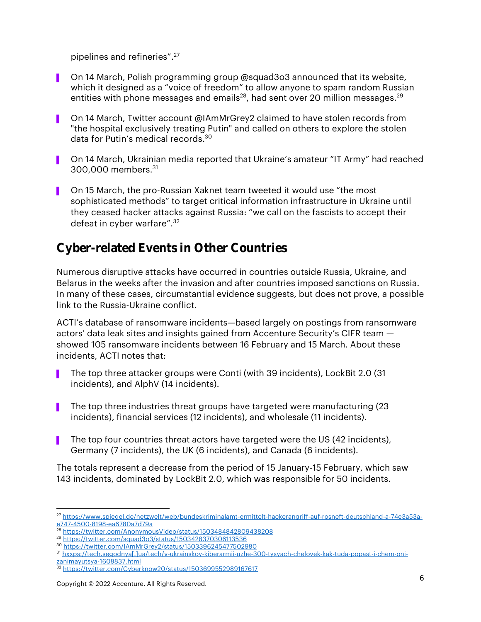pipelines and refineries". 27

- On 14 March, Polish programming group @squad3o3 announced that its website, which it designed as a "voice of freedom" to allow anyone to spam random Russian entities with phone messages and emails $^{28}$ , had sent over 20 million messages. $^{29}$
- On 14 March, Twitter account @IAmMrGrey2 claimed to have stolen records from "the hospital exclusively treating Putin" and called on others to explore the stolen data for Putin's medical records. 30
- ▌ On 14 March, Ukrainian media reported that Ukraine's amateur "IT Army" had reached 300,000 members. 31
- **Dem** On 15 March, the pro-Russian Xaknet team tweeted it would use "the most" sophisticated methods" to target critical information infrastructure in Ukraine until they ceased hacker attacks against Russia: "we call on the fascists to accept their defeat in cyber warfare". 32

#### Cyber-related Events in Other Countries

Numerous disruptive attacks have occurred in countries outside Russia, Ukraine, and Belarus in the weeks after the invasion and after countries imposed sanctions on Russia. In many of these cases, circumstantial evidence suggests, but does not prove, a possible link to the Russia-Ukraine conflict.

ACTI's database of ransomware incidents—based largely on postings from ransomware actors' data leak sites and insights gained from Accenture Security's CIFR team showed 105 ransomware incidents between 16 February and 15 March. About these incidents, ACTI notes that:

- ▌ The top three attacker groups were Conti (with 39 incidents), LockBit 2.0 (31 incidents), and AlphV (14 incidents).
- ▌ The top three industries threat groups have targeted were manufacturing (23 incidents), financial services (12 incidents), and wholesale (11 incidents).
- ▌ The top four countries threat actors have targeted were the US (42 incidents), Germany (7 incidents), the UK (6 incidents), and Canada (6 incidents).

The totals represent a decrease from the period of 15 January-15 February, which saw 143 incidents, dominated by LockBit 2.0, which was responsible for 50 incidents.

<sup>27</sup> [https://www.spiegel.de/netzwelt/web/bundeskriminalamt-ermittelt-hackerangriff-auf-rosneft-deutschland-a-74e3a53a](https://www.spiegel.de/netzwelt/web/bundeskriminalamt-ermittelt-hackerangriff-auf-rosneft-deutschland-a-74e3a53a-e747-4500-8198-ea6780a7d79a)[e747-4500-8198-ea6780a7d79a](https://www.spiegel.de/netzwelt/web/bundeskriminalamt-ermittelt-hackerangriff-auf-rosneft-deutschland-a-74e3a53a-e747-4500-8198-ea6780a7d79a)

<sup>28</sup> <https://twitter.com/AnonymousVideo/status/1503484842809438208>

<sup>29</sup> <https://twitter.com/squad3o3/status/1503428370306113536>

<sup>30</sup> <https://twitter.com/IAmMrGrey2/status/1503396245477502980>

<sup>31</sup> [hxxps://tech.segodnya\[.\]ua/tech/v-ukrainskoy-kiberarmii-uzhe-300-tysyach-chelovek-kak-tuda-popast-i-chem-oni](hxxps://tech.segodnya[.]ua/tech/v-ukrainskoy-kiberarmii-uzhe-300-tysyach-chelovek-kak-tuda-popast-i-chem-oni-zanimayutsya-1608837.html)[zanimayutsya-1608837.html](hxxps://tech.segodnya[.]ua/tech/v-ukrainskoy-kiberarmii-uzhe-300-tysyach-chelovek-kak-tuda-popast-i-chem-oni-zanimayutsya-1608837.html)

<sup>32</sup> <https://twitter.com/Cyberknow20/status/1503699552989167617>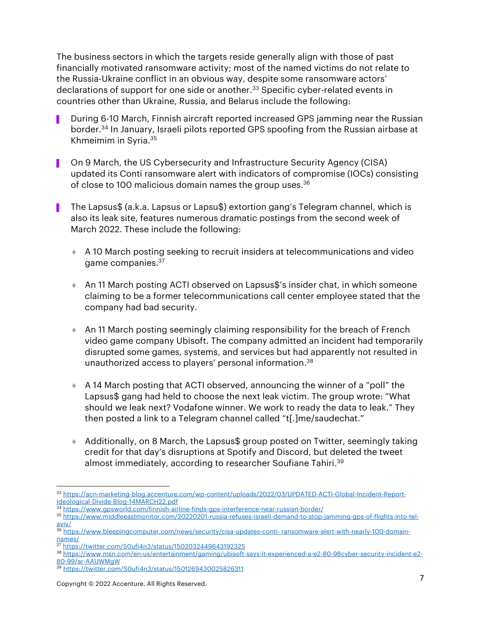The business sectors in which the targets reside generally align with those of past financially motivated ransomware activity; most of the named victims do not relate to the Russia-Ukraine conflict in an obvious way, despite some ransomware actors' declarations of support for one side or another.<sup>33</sup> Specific cyber-related events in countries other than Ukraine, Russia, and Belarus include the following:

- During 6-10 March, Finnish aircraft reported increased GPS jamming near the Russian border. <sup>34</sup> In January, Israeli pilots reported GPS spoofing from the Russian airbase at Khmeimim in Syria. 35
- ▌ On 9 March, the US Cybersecurity and Infrastructure Security Agency (CISA) updated its Conti ransomware alert with indicators of compromise (IOCs) consisting of close to 100 malicious domain names the group uses. 36
- ▌ The Lapsus\$ (a.k.a. Lapsus or Lapsu\$) extortion gang's Telegram channel, which is also its leak site, features numerous dramatic postings from the second week of March 2022. These include the following:
	- A 10 March posting seeking to recruit insiders at telecommunications and video game companies.<sup>37</sup>
	- ◆ An 11 March posting ACTI observed on Lapsus\$'s insider chat, in which someone claiming to be a former telecommunications call center employee stated that the company had bad security.
	- An 11 March posting seemingly claiming responsibility for the breach of French video game company Ubisoft. The company admitted an incident had temporarily disrupted some games, systems, and services but had apparently not resulted in unauthorized access to players' personal information. 38
	- A 14 March posting that ACTI observed, announcing the winner of a "poll" the Lapsus\$ gang had held to choose the next leak victim. The group wrote: "What should we leak next? Vodafone winner. We work to ready the data to leak." They then posted a link to a Telegram channel called "t[.]me/saudechat."
	- Additionally, on 8 March, the Lapsus\$ group posted on Twitter, seemingly taking credit for that day's disruptions at Spotify and Discord, but deleted the tweet almost immediately, according to researcher Soufiane Tahiri.<sup>39</sup>

<sup>33</sup> [https://acn-marketing-blog.accenture.com/wp-content/uploads/2022/03/UPDATED-ACTI-Global-Incident-Report-](https://acn-marketing-blog.accenture.com/wp-content/uploads/2022/03/UPDATED-ACTI-Global-Incident-Report-Ideological-Divide-Blog-14MARCH22.pdf)[Ideological-Divide-Blog-14MARCH22.pdf](https://acn-marketing-blog.accenture.com/wp-content/uploads/2022/03/UPDATED-ACTI-Global-Incident-Report-Ideological-Divide-Blog-14MARCH22.pdf)

<sup>34</sup> <https://www.gpsworld.com/finnish-airline-finds-gps-interference-near-russian-border/>

<sup>35</sup> [https://www.middleeastmonitor.com/20220201-russia-refuses-israeli-demand-to-stop-jamming-gps-of-flights-into-tel](https://www.middleeastmonitor.com/20220201-russia-refuses-israeli-demand-to-stop-jamming-gps-of-flights-into-tel-aviv/)[aviv/](https://www.middleeastmonitor.com/20220201-russia-refuses-israeli-demand-to-stop-jamming-gps-of-flights-into-tel-aviv/)

<sup>36</sup> [https://www.bleepingcomputer.com/news/security/cisa-updates-conti-](https://www.bleepingcomputer.com/news/security/cisa-updates-conti-%20ransomware-alert-with-nearly-100-domain-names/) ransomware-alert-with-nearly-100-domain[names/](https://www.bleepingcomputer.com/news/security/cisa-updates-conti-%20ransomware-alert-with-nearly-100-domain-names/)

<sup>37</sup> <https://twitter.com/S0ufi4n3/status/1502032449643192325>

<sup>38</sup> [https://www.msn.com/en-us/entertainment/gaming/ubisoft-says-it-experienced-a-e2-80-98cyber-security-incident-e2-](https://www.msn.com/en-us/entertainment/gaming/ubisoft-says-it-experienced-a-e2-80-98cyber-security-incident-e2-80-99/ar-AAUWMgW) [80-99/ar-AAUWMgW](https://www.msn.com/en-us/entertainment/gaming/ubisoft-says-it-experienced-a-e2-80-98cyber-security-incident-e2-80-99/ar-AAUWMgW)

<sup>39</sup> <https://twitter.com/S0ufi4n3/status/1501269430025826311>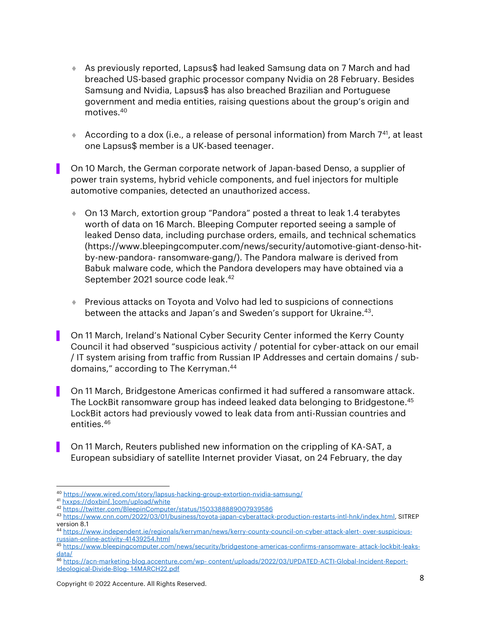- As previously reported, Lapsus\$ had leaked Samsung data on 7 March and had breached US-based graphic processor company Nvidia on 28 February. Besides Samsung and Nvidia, Lapsus\$ has also breached Brazilian and Portuguese government and media entities, raising questions about the group's origin and motives. 40
- According to a dox (i.e., a release of personal information) from March  $7^{41}$ , at least one Lapsus\$ member is a UK-based teenager.
- ▌ On 10 March, the German corporate network of Japan-based Denso, a supplier of power train systems, hybrid vehicle components, and fuel injectors for multiple automotive companies, detected an unauthorized access.
	- On 13 March, extortion group "Pandora" posted a threat to leak 1.4 terabytes worth of data on 16 March. Bleeping Computer reported seeing a sample of leaked Denso data, including purchase orders, emails, and technical schematics (https://www.bleepingcomputer.com/news/security/automotive-giant-denso-hitby-new-pandora- ransomware-gang/). The Pandora malware is derived from Babuk malware code, which the Pandora developers may have obtained via a September 2021 source code leak. 42
	- Previous attacks on Toyota and Volvo had led to suspicions of connections between the attacks and Japan's and Sweden's support for Ukraine.<sup>43</sup>.
- ▌ On 11 March, Ireland's National Cyber Security Center informed the Kerry County Council it had observed "suspicious activity / potential for cyber-attack on our email / IT system arising from traffic from Russian IP Addresses and certain domains / subdomains," according to The Kerryman. 44
- ▌ On 11 March, Bridgestone Americas confirmed it had suffered a ransomware attack. The LockBit ransomware group has indeed leaked data belonging to Bridgestone. 45 LockBit actors had previously vowed to leak data from anti-Russian countries and entities. 46
- ▌ On 11 March, Reuters published new information on the crippling of KA-SAT, a European subsidiary of satellite Internet provider Viasat, on 24 February, the day

<sup>40</sup> <https://www.wired.com/story/lapsus-hacking-group-extortion-nvidia-samsung/>

<sup>41</sup> [hxxps://doxbin\[.\]com/upload/white](hxxps://doxbin[.]com/upload/white)

<sup>42</sup> <https://twitter.com/BleepinComputer/status/1503388889007939586>

<sup>43</sup> [https://www.cnn.com/2022/03/01/business/toyota-japan-cyberattack-production-restarts-intl-hnk/index.html,](https://www.cnn.com/2022/03/01/business/toyota-japan-cyberattack-production-restarts-intl-hnk/index.html) SITREP version 8.1

<sup>44</sup> [https://www.independent.ie/regionals/kerryman/news/kerry-county-council-on-cyber-attack-alert-](https://www.independent.ie/regionals/kerryman/news/kerry-county-council-on-cyber-attack-alert-%20over-suspicious-russian-online-activity-41439254.html) over-suspicious[russian-online-activity-41439254.html](https://www.independent.ie/regionals/kerryman/news/kerry-county-council-on-cyber-attack-alert-%20over-suspicious-russian-online-activity-41439254.html)

<sup>45</sup> [https://www.bleepingcomputer.com/news/security/bridgestone-americas-confirms-ransomware-](https://www.bleepingcomputer.com/news/security/bridgestone-americas-confirms-ransomware-%20attack-lockbit-leaks-data/) attack-lockbit-leaks[data/](https://www.bleepingcomputer.com/news/security/bridgestone-americas-confirms-ransomware-%20attack-lockbit-leaks-data/)

<sup>46</sup> https://acn-marketing-blog.accenture.com/wp- [content/uploads/2022/03/UPDATED-ACTI-Global-Incident-Report-](https://acn-marketing-blog.accenture.com/wp-%20content/uploads/2022/03/UPDATED-ACTI-Global-Incident-Report-Ideological-Divide-Blog-%2014MARCH22.pdf)[Ideological-Divide-Blog-](https://acn-marketing-blog.accenture.com/wp-%20content/uploads/2022/03/UPDATED-ACTI-Global-Incident-Report-Ideological-Divide-Blog-%2014MARCH22.pdf) 14MARCH22.pdf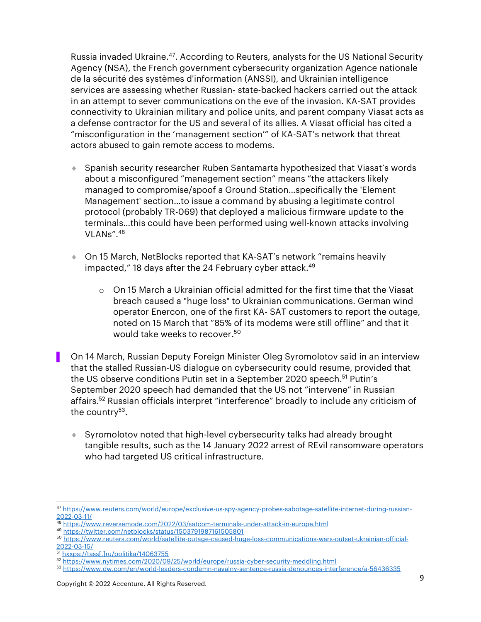Russia invaded Ukraine. <sup>47</sup>. According to Reuters, analysts for the US National Security Agency (NSA), the French government cybersecurity organization Agence nationale de la sécurité des systèmes d'information (ANSSI), and Ukrainian intelligence services are assessing whether Russian- state-backed hackers carried out the attack in an attempt to sever communications on the eve of the invasion. KA-SAT provides connectivity to Ukrainian military and police units, and parent company Viasat acts as a defense contractor for the US and several of its allies. A Viasat official has cited a "misconfiguration in the 'management section'" of KA-SAT's network that threat actors abused to gain remote access to modems.

- Spanish security researcher Ruben Santamarta hypothesized that Viasat's words about a misconfigured "management section" means "the attackers likely managed to compromise/spoof a Ground Station…specifically the 'Element Management' section…to issue a command by abusing a legitimate control protocol (probably TR-069) that deployed a malicious firmware update to the terminals…this could have been performed using well-known attacks involving VLANs". 48
- ◆ On 15 March, NetBlocks reported that KA-SAT's network "remains heavily impacted," 18 days after the 24 February cyber attack. 49
	- $\circ$  On 15 March a Ukrainian official admitted for the first time that the Viasat breach caused a "huge loss" to Ukrainian communications. German wind operator Enercon, one of the first KA- SAT customers to report the outage, noted on 15 March that "85% of its modems were still offline" and that it would take weeks to recover. 50
- ▌ On 14 March, Russian Deputy Foreign Minister Oleg Syromolotov said in an interview that the stalled Russian-US dialogue on cybersecurity could resume, provided that the US observe conditions Putin set in a September 2020 speech. <sup>51</sup> Putin's September 2020 speech had demanded that the US not "intervene" in Russian affairs. <sup>52</sup> Russian officials interpret "interference" broadly to include any criticism of the country<sup>53</sup>.
	- Syromolotov noted that high-level cybersecurity talks had already brought tangible results, such as the 14 January 2022 arrest of REvil ransomware operators who had targeted US critical infrastructure.

<sup>47</sup> [https://www.reuters.com/world/europe/exclusive-us-spy-agency-probes-sabotage-satellite-internet-during-russian-](https://www.reuters.com/world/europe/exclusive-us-spy-agency-probes-sabotage-satellite-internet-during-russian-2022-03-11/)[2022-03-11/](https://www.reuters.com/world/europe/exclusive-us-spy-agency-probes-sabotage-satellite-internet-during-russian-2022-03-11/)

<sup>48</sup> <https://www.reversemode.com/2022/03/satcom-terminals-under-attack-in-europe.html>

<sup>49</sup> <https://twitter.com/netblocks/status/1503791987161505801>

<sup>50</sup> [https://www.reuters.com/world/satellite-outage-caused-huge-loss-communications-wars-outset-ukrainian-official-](https://www.reuters.com/world/satellite-outage-caused-huge-loss-communications-wars-outset-ukrainian-official-2022-03-15/)[2022-03-15/](https://www.reuters.com/world/satellite-outage-caused-huge-loss-communications-wars-outset-ukrainian-official-2022-03-15/)

<sup>51</sup> [hxxps://tass\[.\]ru/politika/14063755](hxxps://tass[.]ru/politika/14063755)

<sup>52</sup> <https://www.nytimes.com/2020/09/25/world/europe/russia-cyber-security-meddling.html>

<sup>53</sup> <https://www.dw.com/en/world-leaders-condemn-navalny-sentence-russia-denounces-interference/a-56436335>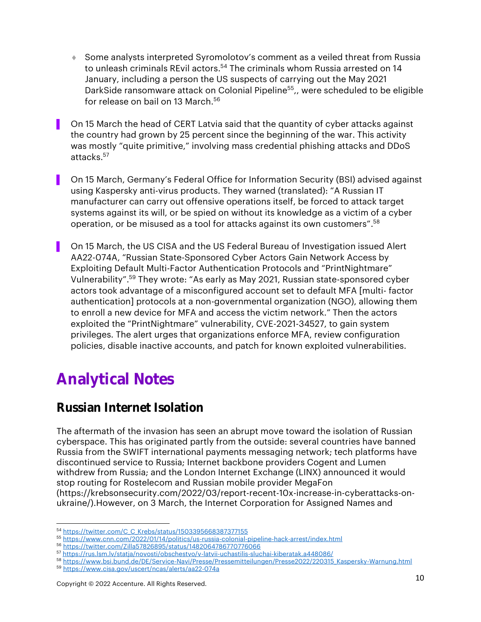- Some analysts interpreted Syromolotov's comment as a veiled threat from Russia to unleash criminals REvil actors.<sup>54</sup> The criminals whom Russia arrested on 14 January, including a person the US suspects of carrying out the May 2021 DarkSide ransomware attack on Colonial Pipeline<sup>55</sup>,, were scheduled to be eligible for release on bail on 13 March. 56
- On 15 March the head of CERT Latvia said that the quantity of cyber attacks against the country had grown by 25 percent since the beginning of the war. This activity was mostly "quite primitive," involving mass credential phishing attacks and DDoS attacks.<sup>57</sup>
- ▌ On 15 March, Germany's Federal Office for Information Security (BSI) advised against using Kaspersky anti-virus products. They warned (translated): "A Russian IT manufacturer can carry out offensive operations itself, be forced to attack target systems against its will, or be spied on without its knowledge as a victim of a cyber operation, or be misused as a tool for attacks against its own customers". 58
- ▌ On 15 March, the US CISA and the US Federal Bureau of Investigation issued Alert AA22-074A, "Russian State-Sponsored Cyber Actors Gain Network Access by Exploiting Default Multi-Factor Authentication Protocols and "PrintNightmare" Vulnerability". <sup>59</sup> They wrote: "As early as May 2021, Russian state-sponsored cyber actors took advantage of a misconfigured account set to default MFA [multi- factor authentication] protocols at a non-governmental organization (NGO), allowing them to enroll a new device for MFA and access the victim network." Then the actors exploited the "PrintNightmare" vulnerability, CVE-2021-34527, to gain system privileges. The alert urges that organizations enforce MFA, review configuration policies, disable inactive accounts, and patch for known exploited vulnerabilities.

## Analytical Notes

### Russian Internet Isolation

The aftermath of the invasion has seen an abrupt move toward the isolation of Russian cyberspace. This has originated partly from the outside: several countries have banned Russia from the SWIFT international payments messaging network; tech platforms have discontinued service to Russia; Internet backbone providers Cogent and Lumen withdrew from Russia; and the London Internet Exchange (LINX) announced it would stop routing for Rostelecom and Russian mobile provider MegaFon [\(https://krebsonsecurity.com/2022/03/report-recent-10x-increase-in-cyberattacks-on](https://krebsonsecurity.com/2022/03/report-recent-10x-increase-in-cyberattacks-on-ukraine/)[ukraine/\)](https://krebsonsecurity.com/2022/03/report-recent-10x-increase-in-cyberattacks-on-ukraine/).However, on 3 March, the Internet Corporation for Assigned Names and

<sup>54</sup> [https://twitter.com/C\\_C\\_Krebs/status/1503395668387377155](https://twitter.com/C_C_Krebs/status/1503395668387377155)

<sup>55</sup> <https://www.cnn.com/2022/01/14/politics/us-russia-colonial-pipeline-hack-arrest/index.html>

<sup>56</sup> <https://twitter.com/Zilla57826895/status/1482064786770776066>

<sup>57</sup> <https://rus.lsm.lv/statja/novosti/obschestvo/v-latvii-uchastilis-sluchai-kiberatak.a448086/>

<sup>58</sup> [https://www.bsi.bund.de/DE/Service-Navi/Presse/Pressemitteilungen/Presse2022/220315\\_Kaspersky-Warnung.html](https://www.bsi.bund.de/DE/Service-Navi/Presse/Pressemitteilungen/Presse2022/220315_Kaspersky-Warnung.html) <sup>59</sup> <https://www.cisa.gov/uscert/ncas/alerts/aa22-074a>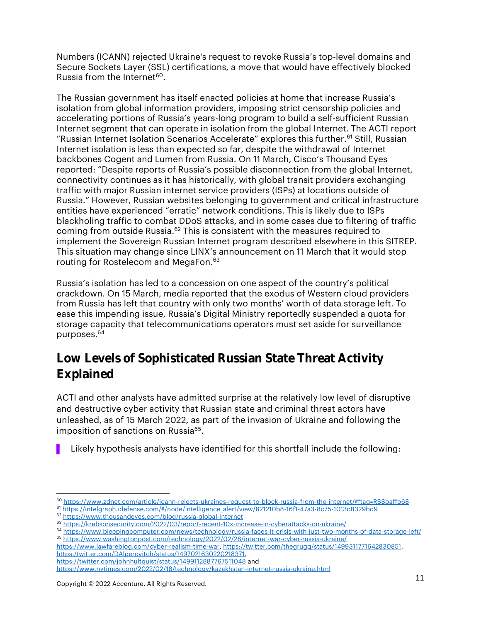Numbers (ICANN) rejected Ukraine's request to revoke Russia's top-level domains and Secure Sockets Layer (SSL) certifications, a move that would have effectively blocked Russia from the Internet $^{60}$ .

The Russian government has itself enacted policies at home that increase Russia's isolation from global information providers, imposing strict censorship policies and accelerating portions of Russia's years-long program to build a self-sufficient Russian Internet segment that can operate in isolation from the global Internet. The ACTI report "Russian Internet Isolation Scenarios Accelerate" explores this further. <sup>61</sup> Still, Russian Internet isolation is less than expected so far, despite the withdrawal of Internet backbones Cogent and Lumen from Russia. On 11 March, Cisco's Thousand Eyes reported: "Despite reports of Russia's possible disconnection from the global Internet, connectivity continues as it has historically, with global transit providers exchanging traffic with major Russian internet service providers (ISPs) at locations outside of Russia." However, Russian websites belonging to government and critical infrastructure entities have experienced "erratic" network conditions. This is likely due to ISPs blackholing traffic to combat DDoS attacks, and in some cases due to filtering of traffic coming from outside Russia. <sup>62</sup> This is consistent with the measures required to implement the Sovereign Russian Internet program described elsewhere in this SITREP. This situation may change since LINX's announcement on 11 March that it would stop routing for Rostelecom and MegaFon. 63

Russia's isolation has led to a concession on one aspect of the country's political crackdown. On 15 March, media reported that the exodus of Western cloud providers from Russia has left that country with only two months' worth of data storage left. To ease this impending issue, Russia's Digital Ministry reportedly suspended a quota for storage capacity that telecommunications operators must set aside for surveillance purposes. 64

#### Low Levels of Sophisticated Russian State Threat Activity Explained

ACTI and other analysts have admitted surprise at the relatively low level of disruptive and destructive cyber activity that Russian state and criminal threat actors have unleashed, as of 15 March 2022, as part of the invasion of Ukraine and following the imposition of sanctions on Russia<sup>65</sup>.

Likely hypothesis analysts have identified for this shortfall include the following:

[https://www.lawfareblog.com/cyber-realism-time-war,](https://www.lawfareblog.com/cyber-realism-time-war) [https://twitter.com/thegrugq/status/1499311771642830851,](https://twitter.com/thegrugq/status/1499311771642830851) [https:/twitter.com/DAlperovitch/status/1497021630220218371,](https://twitter.com/DAlperovitch/status/1497021630220218371)

<sup>60</sup> <https://www.zdnet.com/article/icann-rejects-ukraines-request-to-block-russia-from-the-internet/#ftag=RSSbaffb68>

<sup>61</sup> [https://intelgraph.idefense.com/#/node/intelligence\\_alert/view/821210b8-16f1-47a3-8c75-1013c8329bd9](https://intelgraph.idefense.com/#/node/intelligence_alert/view/821210b8-16f1-47a3-8c75-1013c8329bd9)

<sup>62</sup> <https://www.thousandeyes.com/blog/russia-global-internet>

<sup>63</sup> <https://krebsonsecurity.com/2022/03/report-recent-10x-increase-in-cyberattacks-on-ukraine/>

<sup>64</sup> <https://www.bleepingcomputer.com/news/technology/russia-faces-it-crisis-with-just-two-months-of-data-storage-left/> <sup>65</sup> <https://www.washingtonpost.com/technology/2022/02/28/internet-war-cyber-russia-ukraine/>

<https://twitter.com/johnhultquist/status/1499112887767511048> and

<https://www.nytimes.com/2022/02/18/technology/kazakhstan-internet-russia-ukraine.html>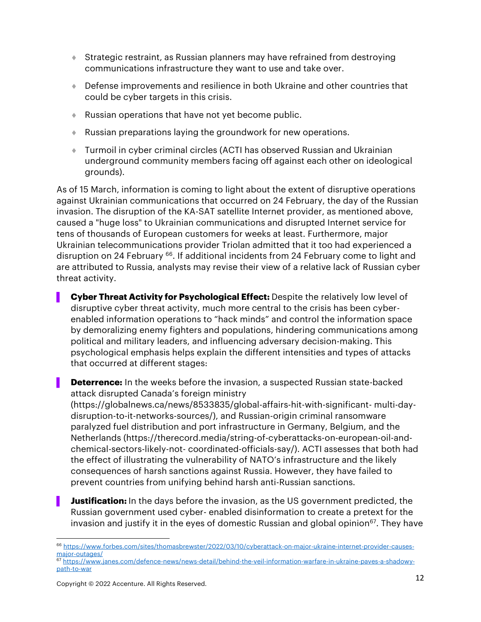- Strategic restraint, as Russian planners may have refrained from destroying communications infrastructure they want to use and take over.
- Defense improvements and resilience in both Ukraine and other countries that could be cyber targets in this crisis.
- Russian operations that have not yet become public.
- Russian preparations laying the groundwork for new operations.
- Turmoil in cyber criminal circles (ACTI has observed Russian and Ukrainian underground community members facing off against each other on ideological grounds).

As of 15 March, information is coming to light about the extent of disruptive operations against Ukrainian communications that occurred on 24 February, the day of the Russian invasion. The disruption of the KA-SAT satellite Internet provider, as mentioned above, caused a "huge loss" to Ukrainian communications and disrupted Internet service for tens of thousands of European customers for weeks at least. Furthermore, major Ukrainian telecommunications provider Triolan admitted that it too had experienced a disruption on 24 February <sup>66</sup>. If additional incidents from 24 February come to light and are attributed to Russia, analysts may revise their view of a relative lack of Russian cyber threat activity.

- ▌ **Cyber Threat Activity for Psychological Effect:** Despite the relatively low level of disruptive cyber threat activity, much more central to the crisis has been cyberenabled information operations to "hack minds" and control the information space by demoralizing enemy fighters and populations, hindering communications among political and military leaders, and influencing adversary decision-making. This psychological emphasis helps explain the different intensities and types of attacks that occurred at different stages:
- **Deterrence:** In the weeks before the invasion, a suspected Russian state-backed attack disrupted Canada's foreign ministry

(https://globalnews.ca/news/8533835/global-affairs-hit-with-significant- multi-daydisruption-to-it-networks-sources/), and Russian-origin criminal ransomware paralyzed fuel distribution and port infrastructure in Germany, Belgium, and the Netherlands (https://therecord.media/string-of-cyberattacks-on-european-oil-andchemical-sectors-likely-not- coordinated-officials-say/). ACTI assesses that both had the effect of illustrating the vulnerability of NATO's infrastructure and the likely consequences of harsh sanctions against Russia. However, they have failed to prevent countries from unifying behind harsh anti-Russian sanctions.

**Justification:** In the days before the invasion, as the US government predicted, the Russian government used cyber- enabled disinformation to create a pretext for the invasion and justify it in the eyes of domestic Russian and global opinion $67$ . They have

<sup>67</sup> [https://www.janes.com/defence-news/news-detail/behind-the-veil-information-warfare-in-ukraine-paves-a-shadowy](https://www.janes.com/defence-news/news-detail/behind-the-veil-information-warfare-in-ukraine-paves-a-shadowy-path-to-war)[path-to-war](https://www.janes.com/defence-news/news-detail/behind-the-veil-information-warfare-in-ukraine-paves-a-shadowy-path-to-war)

<sup>66</sup> [https://www.forbes.com/sites/thomasbrewster/2022/03/10/cyberattack-on-major-ukraine-internet-provider-causes](https://www.forbes.com/sites/thomasbrewster/2022/03/10/cyberattack-on-major-ukraine-internet-provider-causes-major-outages/)[major-outages/](https://www.forbes.com/sites/thomasbrewster/2022/03/10/cyberattack-on-major-ukraine-internet-provider-causes-major-outages/)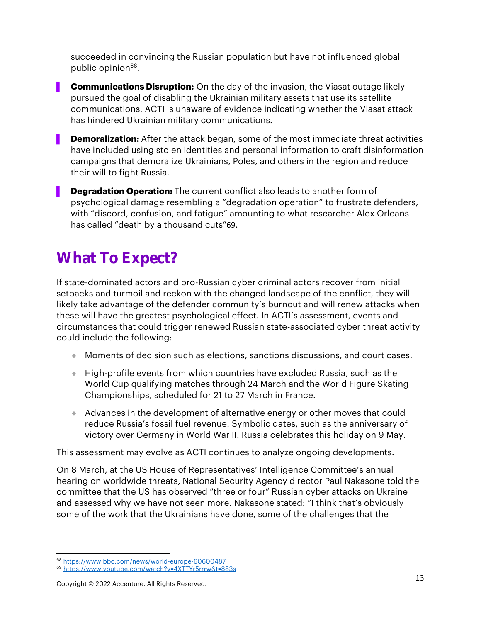succeeded in convincing the Russian population but have not influenced global public opinion<sup>68</sup>.

- **Communications Disruption:** On the day of the invasion, the Viasat outage likely pursued the goal of disabling the Ukrainian military assets that use its satellite communications. ACTI is unaware of evidence indicating whether the Viasat attack has hindered Ukrainian military communications.
- **Demoralization:** After the attack began, some of the most immediate threat activities have included using stolen identities and personal information to craft disinformation campaigns that demoralize Ukrainians, Poles, and others in the region and reduce their will to fight Russia.
- **Degradation Operation:** The current conflict also leads to another form of psychological damage resembling a "degradation operation" to frustrate defenders, with "discord, confusion, and fatigue" amounting to what researcher Alex Orleans has called "death by a thousand cuts"69.

## What To Expect?

If state-dominated actors and pro-Russian cyber criminal actors recover from initial setbacks and turmoil and reckon with the changed landscape of the conflict, they will likely take advantage of the defender community's burnout and will renew attacks when these will have the greatest psychological effect. In ACTI's assessment, events and circumstances that could trigger renewed Russian state-associated cyber threat activity could include the following:

- Moments of decision such as elections, sanctions discussions, and court cases.
- High-profile events from which countries have excluded Russia, such as the World Cup qualifying matches through 24 March and the World Figure Skating Championships, scheduled for 21 to 27 March in France.
- Advances in the development of alternative energy or other moves that could reduce Russia's fossil fuel revenue. Symbolic dates, such as the anniversary of victory over Germany in World War II. Russia celebrates this holiday on 9 May.

This assessment may evolve as ACTI continues to analyze ongoing developments.

On 8 March, at the US House of Representatives' Intelligence Committee's annual hearing on worldwide threats, National Security Agency director Paul Nakasone told the committee that the US has observed "three or four" Russian cyber attacks on Ukraine and assessed why we have not seen more. Nakasone stated: "I think that's obviously some of the work that the Ukrainians have done, some of the challenges that the

<sup>68</sup> <https://www.bbc.com/news/world-europe-60600487>

<sup>69</sup> <https://www.youtube.com/watch?v=4XTTYr5rrrw&t=883s>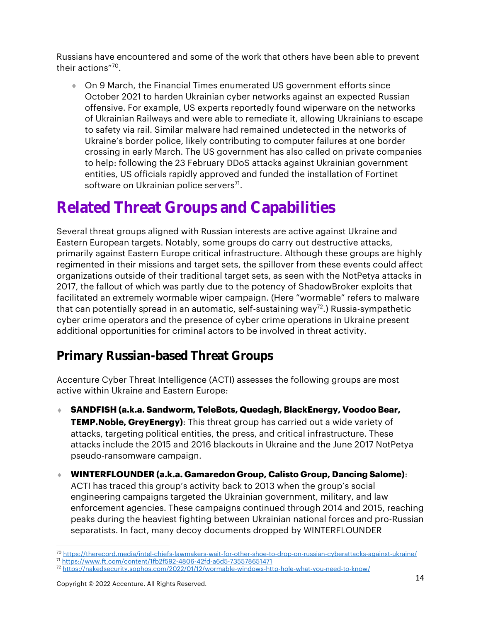Russians have encountered and some of the work that others have been able to prevent their actions"<sup>70</sup> .

 On 9 March, the Financial Times enumerated US government efforts since October 2021 to harden Ukrainian cyber networks against an expected Russian offensive. For example, US experts reportedly found wiperware on the networks of Ukrainian Railways and were able to remediate it, allowing Ukrainians to escape to safety via rail. Similar malware had remained undetected in the networks of Ukraine's border police, likely contributing to computer failures at one border crossing in early March. The US government has also called on private companies to help: following the 23 February DDoS attacks against Ukrainian government entities, US officials rapidly approved and funded the installation of Fortinet software on Ukrainian police servers<sup>71</sup>.

## Related Threat Groups and Capabilities

Several threat groups aligned with Russian interests are active against Ukraine and Eastern European targets. Notably, some groups do carry out destructive attacks, primarily against Eastern Europe critical infrastructure. Although these groups are highly regimented in their missions and target sets, the spillover from these events could affect organizations outside of their traditional target sets, as seen with the NotPetya attacks in 2017, the fallout of which was partly due to the potency of ShadowBroker exploits that facilitated an extremely wormable wiper campaign. (Here "wormable" refers to malware that can potentially spread in an automatic, self-sustaining way<sup>72</sup>.) Russia-sympathetic cyber crime operators and the presence of cyber crime operations in Ukraine present additional opportunities for criminal actors to be involved in threat activity.

### Primary Russian-based Threat Groups

Accenture Cyber Threat Intelligence (ACTI) assesses the following groups are most active within Ukraine and Eastern Europe:

- **SANDFISH (a.k.a. Sandworm, TeleBots, Quedagh, BlackEnergy, Voodoo Bear, TEMP.Noble, GreyEnergy)**: This threat group has carried out a wide variety of attacks, targeting political entities, the press, and critical infrastructure. These attacks include the 2015 and 2016 blackouts in Ukraine and the June 2017 NotPetya pseudo-ransomware campaign.
- **WINTERFLOUNDER (a.k.a. Gamaredon Group, Calisto Group, Dancing Salome)**: ACTI has traced this group's activity back to 2013 when the group's social engineering campaigns targeted the Ukrainian government, military, and law enforcement agencies. These campaigns continued through 2014 and 2015, reaching peaks during the heaviest fighting between Ukrainian national forces and pro-Russian separatists. In fact, many decoy documents dropped by WINTERFLOUNDER
- <sup>70</sup> <https://therecord.media/intel-chiefs-lawmakers-wait-for-other-shoe-to-drop-on-russian-cyberattacks-against-ukraine/>

<sup>72</sup> <https://nakedsecurity.sophos.com/2022/01/12/wormable-windows-http-hole-what-you-need-to-know/>

<sup>71</sup> <https://www.ft.com/content/1fb2f592-4806-42fd-a6d5-735578651471>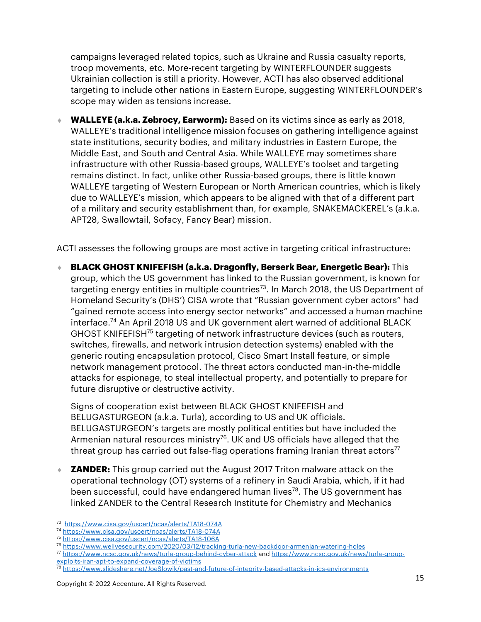campaigns leveraged related topics, such as Ukraine and Russia casualty reports, troop movements, etc. More-recent targeting by WINTERFLOUNDER suggests Ukrainian collection is still a priority. However, ACTI has also observed additional targeting to include other nations in Eastern Europe, suggesting WINTERFLOUNDER's scope may widen as tensions increase.

 **WALLEYE (a.k.a. Zebrocy, Earworm):** Based on its victims since as early as 2018, WALLEYE's traditional intelligence mission focuses on gathering intelligence against state institutions, security bodies, and military industries in Eastern Europe, the Middle East, and South and Central Asia. While WALLEYE may sometimes share infrastructure with other Russia‐based groups, WALLEYE's toolset and targeting remains distinct. In fact, unlike other Russia-based groups, there is little known WALLEYE targeting of Western European or North American countries, which is likely due to WALLEYE's mission, which appears to be aligned with that of a different part of a military and security establishment than, for example, SNAKEMACKEREL's (a.k.a. APT28, Swallowtail, Sofacy, Fancy Bear) mission.

ACTI assesses the following groups are most active in targeting critical infrastructure:

 **BLACK GHOST KNIFEFISH (a.k.a. Dragonfly, Berserk Bear, Energetic Bear):** This group, which the US government has linked to the Russian government, is known for targeting energy entities in multiple countries<sup>73</sup>. In March 2018, the US Department of Homeland Security's (DHS') CISA wrote that "Russian government cyber actors" had "gained remote access into energy sector networks" and accessed a human machine interface. <sup>74</sup> An April 2018 US and UK government alert warned of additional BLACK GHOST KNIFEFISH<sup>75</sup> targeting of network infrastructure devices (such as routers, switches, firewalls, and network intrusion detection systems) enabled with the generic routing encapsulation protocol, Cisco Smart Install feature, or simple network management protocol. The threat actors conducted man-in-the-middle attacks for espionage, to steal intellectual property, and potentially to prepare for future disruptive or destructive activity.

Signs of cooperation exist between BLACK GHOST KNIFEFISH and BELUGASTURGEON (a.k.a. Turla), according to US and UK officials. BELUGASTURGEON's targets are mostly political entities but have included the Armenian natural resources ministry<sup>76</sup>. UK and US officials have alleged that the threat group has carried out false-flag operations framing Iranian threat actors<sup>77</sup>

**ZANDER:** This group carried out the August 2017 Triton malware attack on the operational technology (OT) systems of a refinery in Saudi Arabia, which, if it had been successful, could have endangered human lives<sup>78</sup>. The US government has linked ZANDER to the Central Research Institute for Chemistry and Mechanics

<sup>73</sup> <https://www.cisa.gov/uscert/ncas/alerts/TA18-074A>

<sup>74</sup> <https://www.cisa.gov/uscert/ncas/alerts/TA18-074A>

<sup>75</sup> <https://www.cisa.gov/uscert/ncas/alerts/TA18-106A>

<sup>76</sup> <https://www.welivesecurity.com/2020/03/12/tracking-turla-new-backdoor-armenian-watering-holes>

<sup>77</sup> <https://www.ncsc.gov.uk/news/turla-group-behind-cyber-attack> an[d https://www.ncsc.gov.uk/news/turla-group](https://www.ncsc.gov.uk/news/turla-group-exploits-iran-apt-to-expand-coverage-of-victims)[exploits-iran-apt-to-expand-coverage-of-victims](https://www.ncsc.gov.uk/news/turla-group-exploits-iran-apt-to-expand-coverage-of-victims)

<sup>78</sup> <https://www.slideshare.net/JoeSlowik/past-and-future-of-integrity-based-attacks-in-ics-environments>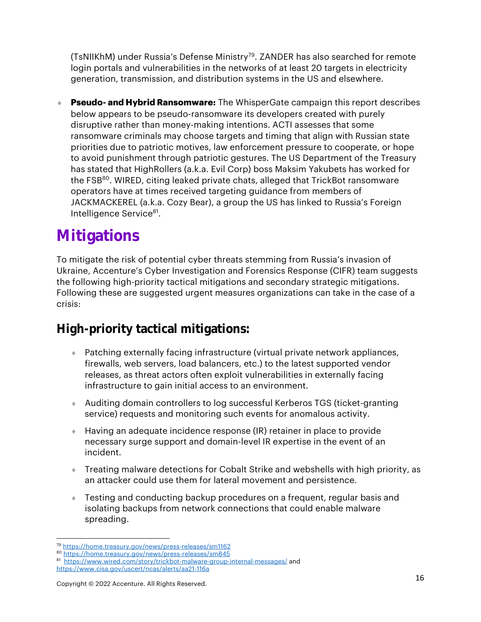(TsNIIKhM) under Russia's Defense Ministry<sup>79</sup>. ZANDER has also searched for remote login portals and vulnerabilities in the networks of at least 20 targets in electricity generation, transmission, and distribution systems in the US and elsewhere.

 **Pseudo- and Hybrid Ransomware:** The WhisperGate campaign this report describes below appears to be pseudo-ransomware its developers created with purely disruptive rather than money-making intentions. ACTI assesses that some ransomware criminals may choose targets and timing that align with Russian state priorities due to patriotic motives, law enforcement pressure to cooperate, or hope to avoid punishment through patriotic gestures. The US Department of the Treasury has stated that HighRollers (a.k.a. Evil Corp) boss Maksim Yakubets has worked for the FSB<sup>80</sup>. WIRED, citing leaked private chats, alleged that TrickBot ransomware operators have at times received targeting guidance from members of JACKMACKEREL (a.k.a. Cozy Bear), a group the US has linked to Russia's Foreign Intelligence Service<sup>81</sup>.

## **Mitigations**

To mitigate the risk of potential cyber threats stemming from Russia's invasion of Ukraine, Accenture's Cyber Investigation and Forensics Response (CIFR) team suggests the following high-priority tactical mitigations and secondary strategic mitigations. Following these are suggested urgent measures organizations can take in the case of a crisis:

### High-priority tactical mitigations:

- Patching externally facing infrastructure (virtual private network appliances, firewalls, web servers, load balancers, etc.) to the latest supported vendor releases, as threat actors often exploit vulnerabilities in externally facing infrastructure to gain initial access to an environment.
- Auditing domain controllers to log successful Kerberos TGS (ticket-granting service) requests and monitoring such events for anomalous activity.
- Having an adequate incidence response (IR) retainer in place to provide necessary surge support and domain-level IR expertise in the event of an incident.
- Treating malware detections for Cobalt Strike and webshells with high priority, as an attacker could use them for lateral movement and persistence.
- Testing and conducting backup procedures on a frequent, regular basis and isolating backups from network connections that could enable malware spreading.

<sup>79</sup> <https://home.treasury.gov/news/press-releases/sm1162>

<sup>80</sup> <https://home.treasury.gov/news/press-releases/sm845>

<sup>&</sup>lt;sup>81</sup><https://www.wired.com/story/trickbot-malware-group-internal-messages/> and <https://www.cisa.gov/uscert/ncas/alerts/aa21-116a>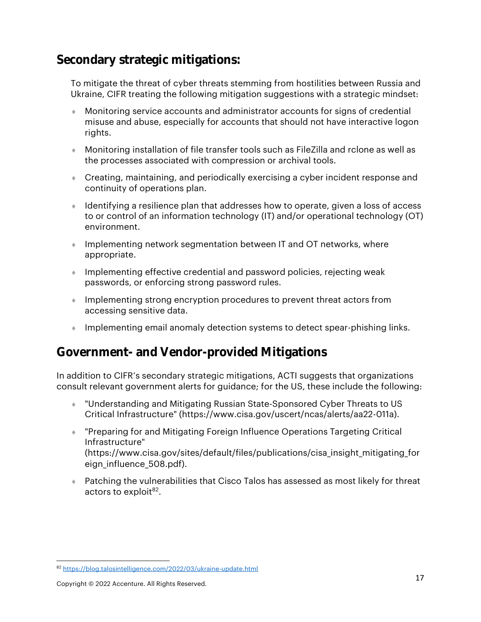#### Secondary strategic mitigations:

To mitigate the threat of cyber threats stemming from hostilities between Russia and Ukraine, CIFR treating the following mitigation suggestions with a strategic mindset:

- Monitoring service accounts and administrator accounts for signs of credential misuse and abuse, especially for accounts that should not have interactive logon rights.
- Monitoring installation of file transfer tools such as FileZilla and rclone as well as the processes associated with compression or archival tools.
- Creating, maintaining, and periodically exercising a cyber incident response and continuity of operations plan.
- Identifying a resilience plan that addresses how to operate, given a loss of access to or control of an information technology (IT) and/or operational technology (OT) environment.
- Implementing network segmentation between IT and OT networks, where appropriate.
- Implementing effective credential and password policies, rejecting weak passwords, or enforcing strong password rules.
- Implementing strong encryption procedures to prevent threat actors from accessing sensitive data.
- **Implementing email anomaly detection systems to detect spear-phishing links.**

#### Government- and Vendor-provided Mitigations

In addition to CIFR's secondary strategic mitigations, ACTI suggests that organizations consult relevant government alerts for guidance; for the US, these include the following:

- "Understanding and Mitigating Russian State-Sponsored Cyber Threats to US Critical Infrastructure" (https://www.cisa.gov/uscert/ncas/alerts/aa22-011a).
- "Preparing for and Mitigating Foreign Influence Operations Targeting Critical Infrastructure" (https://www.cisa.gov/sites/default/files/publications/cisa\_insight\_mitigating\_for eign\_influence\_508.pdf).
- Patching the vulnerabilities that Cisco Talos has assessed as most likely for threat actors to exploit<sup>82</sup>.

<sup>82</sup> <https://blog.talosintelligence.com/2022/03/ukraine-update.html>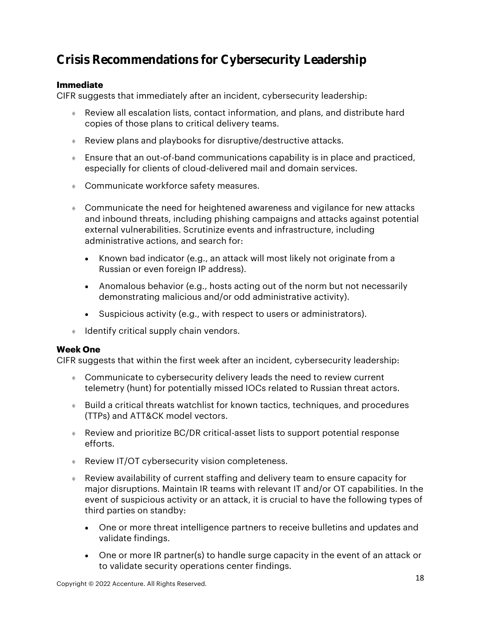### Crisis Recommendations for Cybersecurity Leadership

#### **Immediate**

CIFR suggests that immediately after an incident, cybersecurity leadership:

- Review all escalation lists, contact information, and plans, and distribute hard copies of those plans to critical delivery teams.
- Review plans and playbooks for disruptive/destructive attacks.
- Ensure that an out-of-band communications capability is in place and practiced, especially for clients of cloud-delivered mail and domain services.
- Communicate workforce safety measures.
- Communicate the need for heightened awareness and vigilance for new attacks and inbound threats, including phishing campaigns and attacks against potential external vulnerabilities. Scrutinize events and infrastructure, including administrative actions, and search for:
	- Known bad indicator (e.g., an attack will most likely not originate from a Russian or even foreign IP address).
	- Anomalous behavior (e.g., hosts acting out of the norm but not necessarily demonstrating malicious and/or odd administrative activity).
	- Suspicious activity (e.g., with respect to users or administrators).
- **Identify critical supply chain vendors.**

#### **Week One**

CIFR suggests that within the first week after an incident, cybersecurity leadership:

- Communicate to cybersecurity delivery leads the need to review current telemetry (hunt) for potentially missed IOCs related to Russian threat actors.
- Build a critical threats watchlist for known tactics, techniques, and procedures (TTPs) and ATT&CK model vectors.
- Review and prioritize BC/DR critical-asset lists to support potential response efforts.
- ◆ Review IT/OT cybersecurity vision completeness.
- Review availability of current staffing and delivery team to ensure capacity for major disruptions. Maintain IR teams with relevant IT and/or OT capabilities. In the event of suspicious activity or an attack, it is crucial to have the following types of third parties on standby:
	- One or more threat intelligence partners to receive bulletins and updates and validate findings.
	- One or more IR partner(s) to handle surge capacity in the event of an attack or to validate security operations center findings.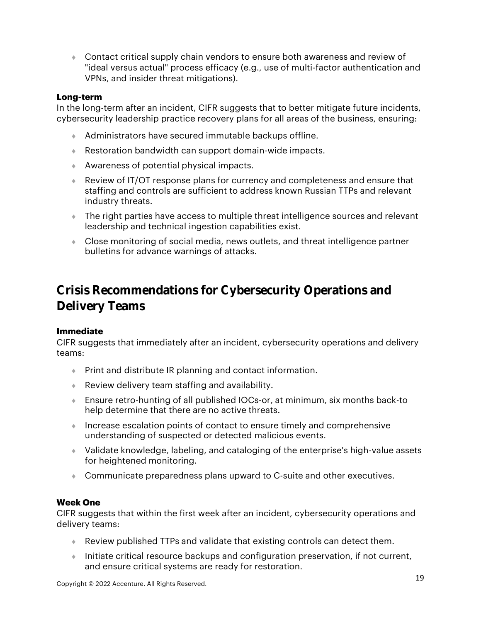Contact critical supply chain vendors to ensure both awareness and review of "ideal versus actual" process efficacy (e.g., use of multi-factor authentication and VPNs, and insider threat mitigations).

#### **Long-term**

In the long-term after an incident, CIFR suggests that to better mitigate future incidents, cybersecurity leadership practice recovery plans for all areas of the business, ensuring:

- Administrators have secured immutable backups offline.
- Restoration bandwidth can support domain-wide impacts.
- Awareness of potential physical impacts.
- Review of IT/OT response plans for currency and completeness and ensure that staffing and controls are sufficient to address known Russian TTPs and relevant industry threats.
- The right parties have access to multiple threat intelligence sources and relevant leadership and technical ingestion capabilities exist.
- Close monitoring of social media, news outlets, and threat intelligence partner bulletins for advance warnings of attacks.

#### Crisis Recommendations for Cybersecurity Operations and Delivery Teams

#### **Immediate**

CIFR suggests that immediately after an incident, cybersecurity operations and delivery teams:

- Print and distribute IR planning and contact information.
- Review delivery team staffing and availability.
- Ensure retro-hunting of all published IOCs-or, at minimum, six months back-to help determine that there are no active threats.
- Increase escalation points of contact to ensure timely and comprehensive understanding of suspected or detected malicious events.
- Validate knowledge, labeling, and cataloging of the enterprise's high-value assets for heightened monitoring.
- Communicate preparedness plans upward to C-suite and other executives.

#### **Week One**

CIFR suggests that within the first week after an incident, cybersecurity operations and delivery teams:

- Review published TTPs and validate that existing controls can detect them.
- Initiate critical resource backups and configuration preservation, if not current, and ensure critical systems are ready for restoration.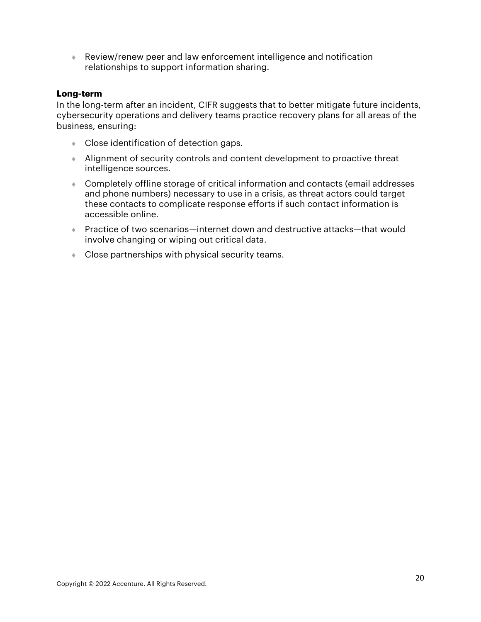Review/renew peer and law enforcement intelligence and notification relationships to support information sharing.

#### **Long-term**

In the long-term after an incident, CIFR suggests that to better mitigate future incidents, cybersecurity operations and delivery teams practice recovery plans for all areas of the business, ensuring:

- Close identification of detection gaps.
- Alignment of security controls and content development to proactive threat intelligence sources.
- Completely offline storage of critical information and contacts (email addresses and phone numbers) necessary to use in a crisis, as threat actors could target these contacts to complicate response efforts if such contact information is accessible online.
- Practice of two scenarios—internet down and destructive attacks—that would involve changing or wiping out critical data.
- Close partnerships with physical security teams.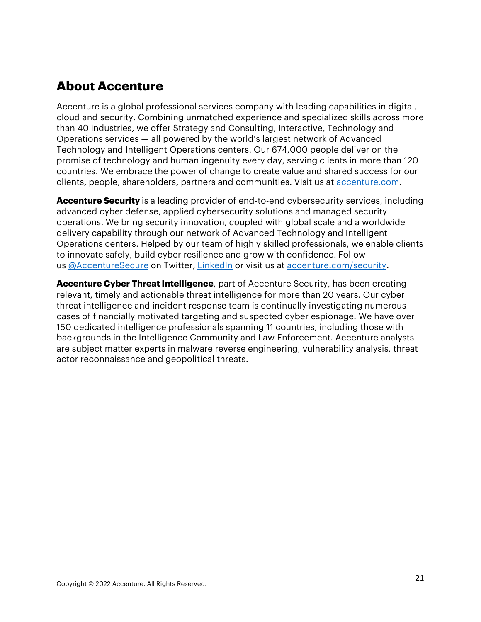### **About Accenture**

Accenture is a global professional services company with leading capabilities in digital, cloud and security. Combining unmatched experience and specialized skills across more than 40 industries, we offer Strategy and Consulting, Interactive, Technology and Operations services — all powered by the world's largest network of Advanced Technology and Intelligent Operations centers. Our 674,000 people deliver on the promise of technology and human ingenuity every day, serving clients in more than 120 countries. We embrace the power of change to create value and shared success for our clients, people, shareholders, partners and communities. Visit us at [accenture.com.](http://www.accenture.com/)

**Accenture Security** is a leading provider of end-to-end cybersecurity services, including advanced cyber defense, applied cybersecurity solutions and managed security operations. We bring security innovation, coupled with global scale and a worldwide delivery capability through our network of Advanced Technology and Intelligent Operations centers. Helped by our team of highly skilled professionals, we enable clients to innovate safely, build cyber resilience and grow with confidence. Follow us [@AccentureSecure](https://twitter.com/accenturesecure) on Twitter, [LinkedIn](https://www.linkedin.com/showcase/accenture_security/) or visit us at [accenture.com/security.](http://accenture.com/security)

**Accenture Cyber Threat Intelligence**, part of Accenture Security, has been creating relevant, timely and actionable threat intelligence for more than 20 years. Our cyber threat intelligence and incident response team is continually investigating numerous cases of financially motivated targeting and suspected cyber espionage. We have over 150 dedicated intelligence professionals spanning 11 countries, including those with backgrounds in the Intelligence Community and Law Enforcement. Accenture analysts are subject matter experts in malware reverse engineering, vulnerability analysis, threat actor reconnaissance and geopolitical threats.